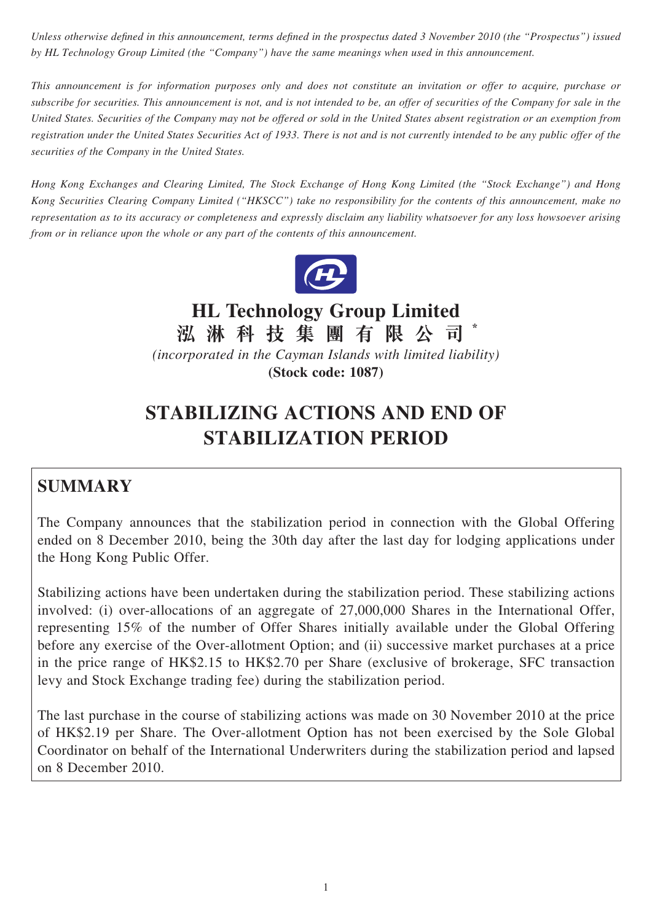*Unless otherwise defined in this announcement, terms defined in the prospectus dated 3 November 2010 (the "Prospectus") issued by HL Technology Group Limited (the "Company") have the same meanings when used in this announcement.*

*This announcement is for information purposes only and does not constitute an invitation or offer to acquire, purchase or subscribe for securities. This announcement is not, and is not intended to be, an offer of securities of the Company for sale in the United States. Securities of the Company may not be offered or sold in the United States absent registration or an exemption from registration under the United States Securities Act of 1933. There is not and is not currently intended to be any public offer of the securities of the Company in the United States.*

*Hong Kong Exchanges and Clearing Limited, The Stock Exchange of Hong Kong Limited (the "Stock Exchange") and Hong Kong Securities Clearing Company Limited ("HKSCC") take no responsibility for the contents of this announcement, make no representation as to its accuracy or completeness and expressly disclaim any liability whatsoever for any loss howsoever arising from or in reliance upon the whole or any part of the contents of this announcement.*



**HL Technology Group Limited 泓淋科技集團有限公司 \*** *(incorporated in the Cayman Islands with limited liability)* **(Stock code: 1087)**

## **STABILIZING ACTIONS AND END OF STABILIZATION PERIOD**

## **SUMMARY**

The Company announces that the stabilization period in connection with the Global Offering ended on 8 December 2010, being the 30th day after the last day for lodging applications under the Hong Kong Public Offer.

Stabilizing actions have been undertaken during the stabilization period. These stabilizing actions involved: (i) over-allocations of an aggregate of 27,000,000 Shares in the International Offer, representing 15% of the number of Offer Shares initially available under the Global Offering before any exercise of the Over-allotment Option; and (ii) successive market purchases at a price in the price range of HK\$2.15 to HK\$2.70 per Share (exclusive of brokerage, SFC transaction levy and Stock Exchange trading fee) during the stabilization period.

The last purchase in the course of stabilizing actions was made on 30 November 2010 at the price of HK\$2.19 per Share. The Over-allotment Option has not been exercised by the Sole Global Coordinator on behalf of the International Underwriters during the stabilization period and lapsed on 8 December 2010.